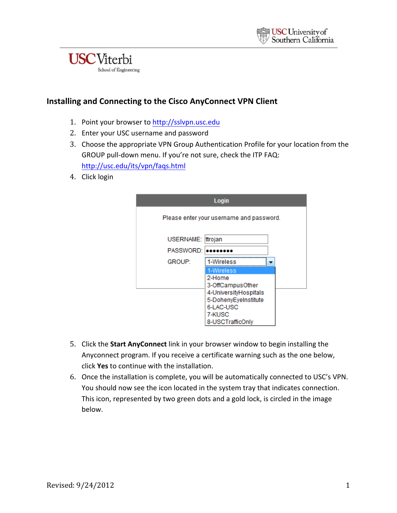



### **Installing and Connecting to the Cisco AnyConnect VPN Client**

- 1. Point your browser to http://sslvpn.usc.edu
- 2. Enter your USC username and password
- 3. Choose the appropriate VPN Group Authentication Profile for your location from the GROUP pull-down menu. If you're not sure, check the ITP FAQ: http://usc.edu/its/vpn/faqs.html
- 4. Click login

| Login            |                                          |  |
|------------------|------------------------------------------|--|
|                  | Please enter your username and password. |  |
| <b>USERNAME:</b> | ttrojan                                  |  |
| <b>PASSWORD:</b> |                                          |  |
| <b>GROUP:</b>    | 1-Wireless                               |  |
|                  | 1-Wireless                               |  |
|                  | 2-Home                                   |  |
|                  | 3-OffCampusOther                         |  |
|                  | 4-UniversityHospitals                    |  |
|                  | 5-DohenyEyeInstitute                     |  |
|                  | 6-LAC-USC                                |  |
|                  | 7-KUSC                                   |  |
|                  | 8-USCTrafficOnly                         |  |

- 5. Click the **Start AnyConnect** link in your browser window to begin installing the Anyconnect program. If you receive a certificate warning such as the one below, click **Yes** to continue with the installation.
- 6. Once the installation is complete, you will be automatically connected to USC's VPN. You should now see the icon located in the system tray that indicates connection. This icon, represented by two green dots and a gold lock, is circled in the image below.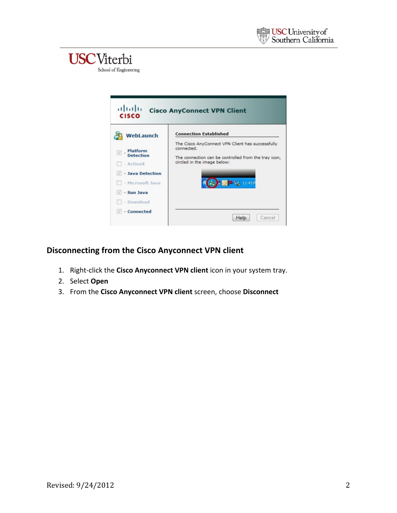# **USC**Viterbi

School of Engineering



## **Disconnecting from the Cisco Anyconnect VPN client**

- 1. Right-click the Cisco Anyconnect VPN client icon in your system tray.
- 2. Select **Open**
- 3. From the Cisco Anyconnect VPN client screen, choose Disconnect